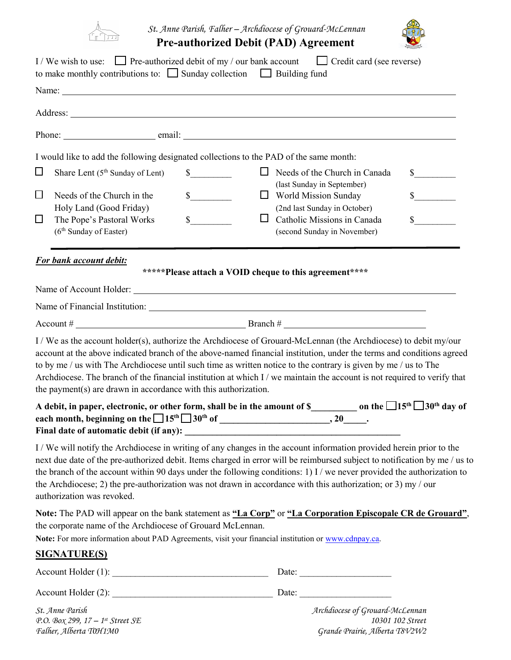

## *St. Anne Parish, Falher – Archdiocese of Grouard-McLennan*





|                                                                           | to make monthly contributions to: $\Box$ Sunday collection $\Box$ Building fund                                                                                                                                                                                                                                                                                              | I / We wish to use: $\Box$ Pre-authorized debit of my / our bank account $\Box$ Credit card (see reverse)                                                                                                                                                                                                                                                                                                                                                                                                                 |                             |
|---------------------------------------------------------------------------|------------------------------------------------------------------------------------------------------------------------------------------------------------------------------------------------------------------------------------------------------------------------------------------------------------------------------------------------------------------------------|---------------------------------------------------------------------------------------------------------------------------------------------------------------------------------------------------------------------------------------------------------------------------------------------------------------------------------------------------------------------------------------------------------------------------------------------------------------------------------------------------------------------------|-----------------------------|
|                                                                           |                                                                                                                                                                                                                                                                                                                                                                              |                                                                                                                                                                                                                                                                                                                                                                                                                                                                                                                           |                             |
|                                                                           |                                                                                                                                                                                                                                                                                                                                                                              |                                                                                                                                                                                                                                                                                                                                                                                                                                                                                                                           |                             |
|                                                                           |                                                                                                                                                                                                                                                                                                                                                                              |                                                                                                                                                                                                                                                                                                                                                                                                                                                                                                                           |                             |
|                                                                           |                                                                                                                                                                                                                                                                                                                                                                              | I would like to add the following designated collections to the PAD of the same month:                                                                                                                                                                                                                                                                                                                                                                                                                                    |                             |
| $\Box$<br>Share Lent $(5th$ Sunday of Lent)                               | $\frac{\S_{\frac{1}{2}}}{\S_{\frac{1}{2}}}{\S_{\frac{1}{2}}}{\S_{\frac{1}{2}}}{\S_{\frac{1}{2}}}{\S_{\frac{1}{2}}}{\S_{\frac{1}{2}}}{\S_{\frac{1}{2}}}{\S_{\frac{1}{2}}}{\S_{\frac{1}{2}}}{\S_{\frac{1}{2}}}{\S_{\frac{1}{2}}}{\S_{\frac{1}{2}}}{\S_{\frac{1}{2}}}{\S_{\frac{1}{2}}}{\S_{\frac{1}{2}}}{\S_{\frac{1}{2}}}{\S_{\frac{1}{2}}}{\S_{\frac{1}{2}}}{\S_{\frac{1}{2$ | $\Box$ Needs of the Church in Canada<br>(last Sunday in September)                                                                                                                                                                                                                                                                                                                                                                                                                                                        | $\frac{\text{S}}{\text{S}}$ |
| $\Box$<br>Needs of the Church in the<br>Holy Land (Good Friday)           | $\frac{\sqrt{2}}{2}$                                                                                                                                                                                                                                                                                                                                                         | World Mission Sunday<br>(2nd last Sunday in October)                                                                                                                                                                                                                                                                                                                                                                                                                                                                      | $\frac{1}{2}$               |
| $\Box$<br>The Pope's Pastoral Works<br>(6 <sup>th</sup> Sunday of Easter) | $\mathbb{S}$                                                                                                                                                                                                                                                                                                                                                                 | $\Box$<br>Catholic Missions in Canada<br>(second Sunday in November)                                                                                                                                                                                                                                                                                                                                                                                                                                                      | $\mathsf{\$}$               |
| For bank account debit:                                                   |                                                                                                                                                                                                                                                                                                                                                                              | *****Please attach a VOID cheque to this agreement****                                                                                                                                                                                                                                                                                                                                                                                                                                                                    |                             |
|                                                                           |                                                                                                                                                                                                                                                                                                                                                                              |                                                                                                                                                                                                                                                                                                                                                                                                                                                                                                                           |                             |
|                                                                           |                                                                                                                                                                                                                                                                                                                                                                              |                                                                                                                                                                                                                                                                                                                                                                                                                                                                                                                           |                             |
|                                                                           |                                                                                                                                                                                                                                                                                                                                                                              |                                                                                                                                                                                                                                                                                                                                                                                                                                                                                                                           |                             |
|                                                                           | the payment(s) are drawn in accordance with this authorization.                                                                                                                                                                                                                                                                                                              | account at the above indicated branch of the above-named financial institution, under the terms and conditions agreed<br>to by me / us with The Archdiocese until such time as written notice to the contrary is given by me / us to The<br>Archdiocese. The branch of the financial institution at which I / we maintain the account is not required to verify that<br>A debit, in paper, electronic, or other form, shall be in the amount of S____________ on the $\square15^{\text{th}}\\square30^{\text{th}}$ day of |                             |
| Final date of automatic debit (if any): _______                           |                                                                                                                                                                                                                                                                                                                                                                              |                                                                                                                                                                                                                                                                                                                                                                                                                                                                                                                           |                             |
| authorization was revoked.                                                |                                                                                                                                                                                                                                                                                                                                                                              | I / We will notify the Archdiocese in writing of any changes in the account information provided herein prior to the<br>next due date of the pre-authorized debit. Items charged in error will be reimbursed subject to notification by me / us to<br>the branch of the account within 90 days under the following conditions: 1) I / we never provided the authorization to<br>the Archdiocese; 2) the pre-authorization was not drawn in accordance with this authorization; or 3) my / our                             |                             |
|                                                                           | the corporate name of the Archdiocese of Grouard McLennan.                                                                                                                                                                                                                                                                                                                   | Note: The PAD will appear on the bank statement as "La Corp" or "La Corporation Episcopale CR de Grouard",<br>Note: For more information about PAD Agreements, visit your financial institution or www.cdnpay.ca.                                                                                                                                                                                                                                                                                                         |                             |
| <u>SIGNATURE(S)</u>                                                       |                                                                                                                                                                                                                                                                                                                                                                              |                                                                                                                                                                                                                                                                                                                                                                                                                                                                                                                           |                             |
|                                                                           |                                                                                                                                                                                                                                                                                                                                                                              |                                                                                                                                                                                                                                                                                                                                                                                                                                                                                                                           |                             |
|                                                                           |                                                                                                                                                                                                                                                                                                                                                                              |                                                                                                                                                                                                                                                                                                                                                                                                                                                                                                                           |                             |
| St. Anne Parish                                                           |                                                                                                                                                                                                                                                                                                                                                                              | Archdiocese of Grouard-McLennan                                                                                                                                                                                                                                                                                                                                                                                                                                                                                           |                             |

*P.O. Box 299, 17 – 1st Street SE 10301 102 Street Falher, Alberta T0H1M0 Grande Prairie, Alberta T8V2W2*